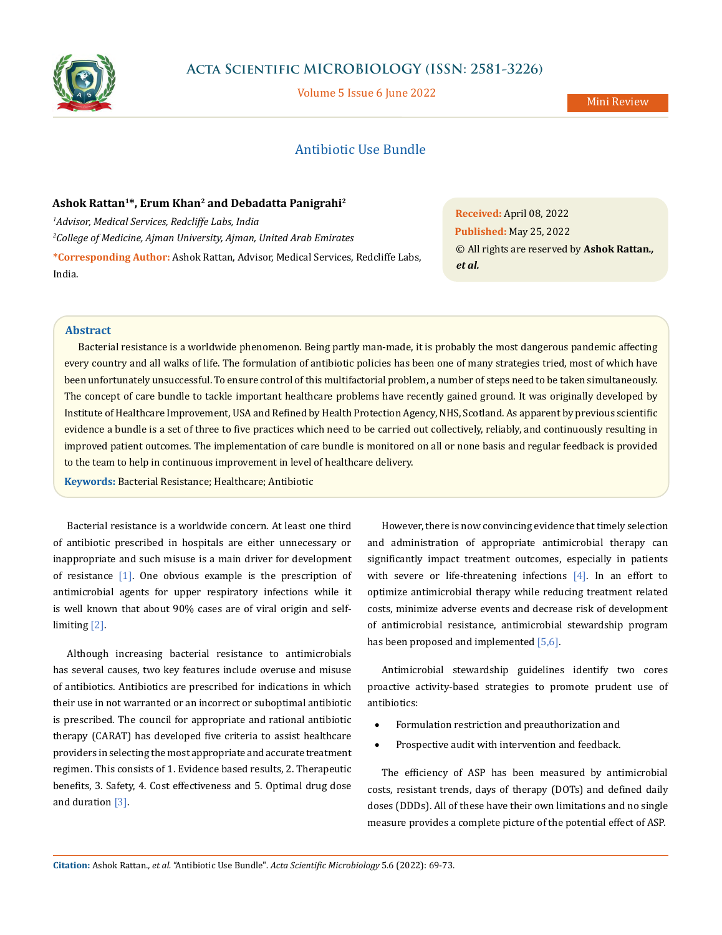

# **Acta Scientific MICROBIOLOGY (ISSN: 2581-3226)**

Volume 5 Issue 6 June 2022

Mini Review

# Antibiotic Use Bundle

## **Ashok Rattan1\*, Erum Khan2 and Debadatta Panigrahi2**

*1 Advisor, Medical Services, Redcliffe Labs, India 2 College of Medicine, Ajman University, Ajman, United Arab Emirates* **\*Corresponding Author:** Ashok Rattan, Advisor, Medical Services, Redcliffe Labs, India.

**Received:** April 08, 2022 **Published:** May 25, 2022 © All rights are reserved by **Ashok Rattan***., et al.*

### **Abstract**

Bacterial resistance is a worldwide phenomenon. Being partly man-made, it is probably the most dangerous pandemic affecting every country and all walks of life. The formulation of antibiotic policies has been one of many strategies tried, most of which have been unfortunately unsuccessful. To ensure control of this multifactorial problem, a number of steps need to be taken simultaneously. The concept of care bundle to tackle important healthcare problems have recently gained ground. It was originally developed by Institute of Healthcare Improvement, USA and Refined by Health Protection Agency, NHS, Scotland. As apparent by previous scientific evidence a bundle is a set of three to five practices which need to be carried out collectively, reliably, and continuously resulting in improved patient outcomes. The implementation of care bundle is monitored on all or none basis and regular feedback is provided to the team to help in continuous improvement in level of healthcare delivery.

**Keywords:** Bacterial Resistance; Healthcare; Antibiotic

Bacterial resistance is a worldwide concern. At least one third of antibiotic prescribed in hospitals are either unnecessary or inappropriate and such misuse is a main driver for development of resistance  $[1]$ . One obvious example is the prescription of antimicrobial agents for upper respiratory infections while it is well known that about 90% cases are of viral origin and selflimiting [2].

Although increasing bacterial resistance to antimicrobials has several causes, two key features include overuse and misuse of antibiotics. Antibiotics are prescribed for indications in which their use in not warranted or an incorrect or suboptimal antibiotic is prescribed. The council for appropriate and rational antibiotic therapy (CARAT) has developed five criteria to assist healthcare providers in selecting the most appropriate and accurate treatment regimen. This consists of 1. Evidence based results, 2. Therapeutic benefits, 3. Safety, 4. Cost effectiveness and 5. Optimal drug dose and duration [3].

However, there is now convincing evidence that timely selection and administration of appropriate antimicrobial therapy can significantly impact treatment outcomes, especially in patients with severe or life-threatening infections  $[4]$ . In an effort to optimize antimicrobial therapy while reducing treatment related costs, minimize adverse events and decrease risk of development of antimicrobial resistance, antimicrobial stewardship program has been proposed and implemented [5,6].

Antimicrobial stewardship guidelines identify two cores proactive activity-based strategies to promote prudent use of antibiotics:

- Formulation restriction and preauthorization and
- Prospective audit with intervention and feedback.

The efficiency of ASP has been measured by antimicrobial costs, resistant trends, days of therapy (DOTs) and defined daily doses (DDDs). All of these have their own limitations and no single measure provides a complete picture of the potential effect of ASP.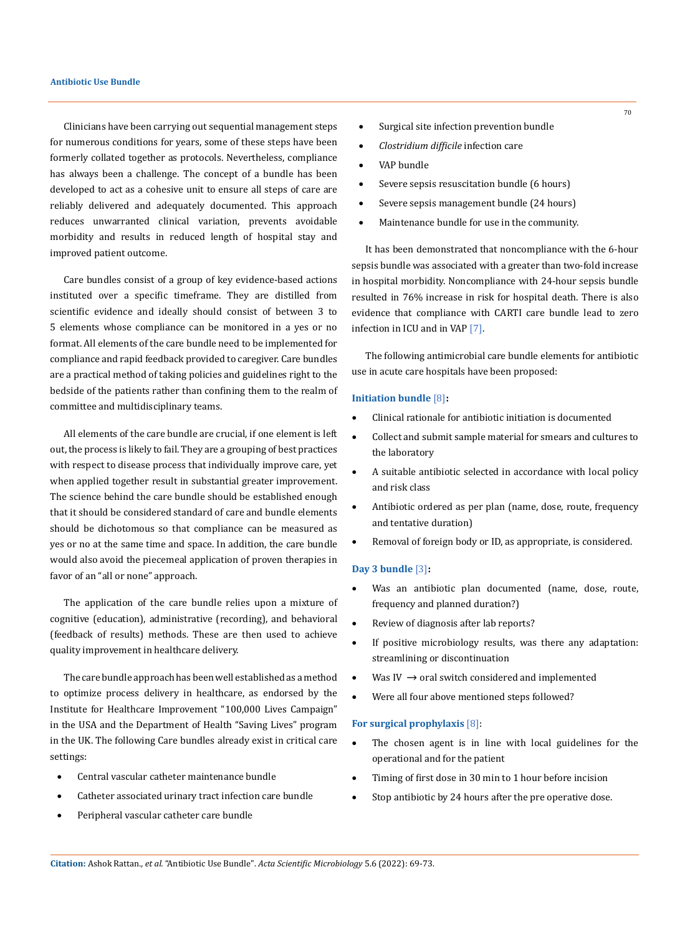#### **Antibiotic Use Bundle**

Clinicians have been carrying out sequential management steps for numerous conditions for years, some of these steps have been formerly collated together as protocols. Nevertheless, compliance has always been a challenge. The concept of a bundle has been developed to act as a cohesive unit to ensure all steps of care are reliably delivered and adequately documented. This approach reduces unwarranted clinical variation, prevents avoidable morbidity and results in reduced length of hospital stay and improved patient outcome.

Care bundles consist of a group of key evidence-based actions instituted over a specific timeframe. They are distilled from scientific evidence and ideally should consist of between 3 to 5 elements whose compliance can be monitored in a yes or no format. All elements of the care bundle need to be implemented for compliance and rapid feedback provided to caregiver. Care bundles are a practical method of taking policies and guidelines right to the bedside of the patients rather than confining them to the realm of committee and multidisciplinary teams.

All elements of the care bundle are crucial, if one element is left out, the process is likely to fail. They are a grouping of best practices with respect to disease process that individually improve care, yet when applied together result in substantial greater improvement. The science behind the care bundle should be established enough that it should be considered standard of care and bundle elements should be dichotomous so that compliance can be measured as yes or no at the same time and space. In addition, the care bundle would also avoid the piecemeal application of proven therapies in favor of an "all or none" approach.

The application of the care bundle relies upon a mixture of cognitive (education), administrative (recording), and behavioral (feedback of results) methods. These are then used to achieve quality improvement in healthcare delivery.

The care bundle approach has been well established as a method to optimize process delivery in healthcare, as endorsed by the Institute for Healthcare Improvement "100,000 Lives Campaign" in the USA and the Department of Health "Saving Lives" program in the UK. The following Care bundles already exist in critical care settings:

- Central vascular catheter maintenance bundle
- Catheter associated urinary tract infection care bundle
- Peripheral vascular catheter care bundle
- Surgical site infection prevention bundle
- • *Clostridium difficile* infection care
- VAP bundle
- Severe sepsis resuscitation bundle (6 hours)
- Severe sepsis management bundle (24 hours)
- • Maintenance bundle for use in the community.

It has been demonstrated that noncompliance with the 6-hour sepsis bundle was associated with a greater than two-fold increase in hospital morbidity. Noncompliance with 24-hour sepsis bundle resulted in 76% increase in risk for hospital death. There is also evidence that compliance with CARTI care bundle lead to zero infection in ICU and in VAP [7].

The following antimicrobial care bundle elements for antibiotic use in acute care hospitals have been proposed:

#### **Initiation bundle** [8]**:**

- • Clinical rationale for antibiotic initiation is documented
- Collect and submit sample material for smears and cultures to the laboratory
- A suitable antibiotic selected in accordance with local policy and risk class
- Antibiotic ordered as per plan (name, dose, route, frequency and tentative duration)
- Removal of foreign body or ID, as appropriate, is considered.

#### **Day 3 bundle** [3]**:**

- Was an antibiotic plan documented (name, dose, route, frequency and planned duration?)
- Review of diagnosis after lab reports?
- If positive microbiology results, was there any adaptation: streamlining or discontinuation
- Was IV  $\rightarrow$  oral switch considered and implemented
- Were all four above mentioned steps followed?

#### **For surgical prophylaxis** [8]:

- The chosen agent is in line with local guidelines for the operational and for the patient
- Timing of first dose in 30 min to 1 hour before incision
- Stop antibiotic by 24 hours after the pre operative dose.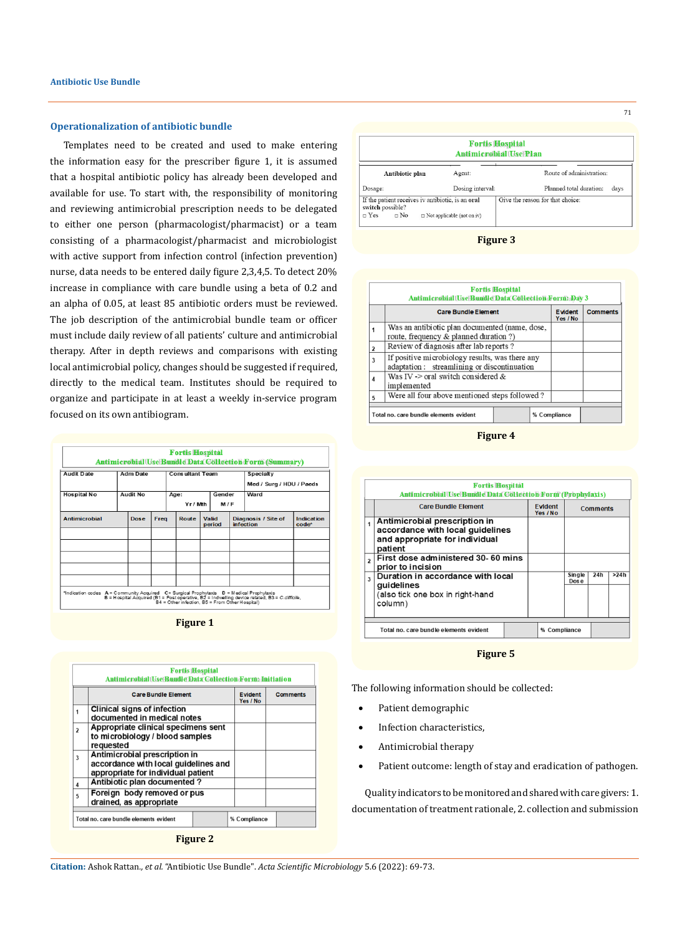#### **Operationalization of antibiotic bundle**

Templates need to be created and used to make entering the information easy for the prescriber figure 1, it is assumed that a hospital antibiotic policy has already been developed and available for use. To start with, the responsibility of monitoring and reviewing antimicrobial prescription needs to be delegated to either one person (pharmacologist/pharmacist) or a team consisting of a pharmacologist/pharmacist and microbiologist with active support from infection control (infection prevention) nurse, data needs to be entered daily figure 2,3,4,5. To detect 20% increase in compliance with care bundle using a beta of 0.2 and an alpha of 0.05, at least 85 antibiotic orders must be reviewed. The job description of the antimicrobial bundle team or officer must include daily review of all patients' culture and antimicrobial therapy. After in depth reviews and comparisons with existing local antimicrobial policy, changes should be suggested if required, directly to the medical team. Institutes should be required to organize and participate in at least a weekly in-service program focused on its own antibiogram.

|                                                                                          |                 |              |  | <b>Fortis Hospital</b>                          |  |                        |  | <b>Antimicrobial Use Bundle Data Collection Form (Summary)</b>                                |                       |  |
|------------------------------------------------------------------------------------------|-----------------|--------------|--|-------------------------------------------------|--|------------------------|--|-----------------------------------------------------------------------------------------------|-----------------------|--|
| <b>Audit Date</b>                                                                        | <b>Adm Date</b> |              |  | <b>Consultant Team</b>                          |  |                        |  | Specialty<br>Med / Surg / HDU / Paeds                                                         |                       |  |
| <b>Hospital No</b>                                                                       | <b>Audit No</b> |              |  | Age:<br>Yr/Mth                                  |  | Gender<br>M/F          |  | Ward                                                                                          |                       |  |
| <b>Antimicrobial</b>                                                                     |                 | Dose<br>Freq |  | Route                                           |  | <b>Valid</b><br>period |  | Diagnosis / Site of<br>infection                                                              | Indication<br>$code*$ |  |
|                                                                                          |                 |              |  |                                                 |  |                        |  |                                                                                               |                       |  |
|                                                                                          |                 |              |  |                                                 |  |                        |  |                                                                                               |                       |  |
| *Indication codes A = Community Acquired C= Surgical Prophylaxis D = Medical Prophylaxis |                 |              |  | B4 = Other infection, B5 = From Other Hospital) |  |                        |  | B = Hospital Acquired (B1 = Post operative, B2 = Indvelling device related, B3 = C.difficile, |                       |  |

**Figure 1**







| <b>Fortis Hospital</b><br><b>Antimicrobial Use Bundle Data Collection Form: Day 3</b> |                                                                                                 |                            |                 |  |  |  |  |  |  |
|---------------------------------------------------------------------------------------|-------------------------------------------------------------------------------------------------|----------------------------|-----------------|--|--|--|--|--|--|
|                                                                                       | <b>Care Bundle Element</b>                                                                      | <b>Evident</b><br>Yes / No | <b>Comments</b> |  |  |  |  |  |  |
|                                                                                       | Was an antibiotic plan documented (name, dose,<br>route, frequency & planned duration ?)        |                            |                 |  |  |  |  |  |  |
| 2                                                                                     | Review of diagnosis after lab reports?                                                          |                            |                 |  |  |  |  |  |  |
| 3                                                                                     | If positive microbiology results, was there any<br>adaptation : streamlining or discontinuation |                            |                 |  |  |  |  |  |  |
| 4                                                                                     | Was IV -> oral switch considered $&$<br>implemented                                             |                            |                 |  |  |  |  |  |  |
| 5                                                                                     | Were all four above mentioned steps followed?                                                   |                            |                 |  |  |  |  |  |  |
|                                                                                       |                                                                                                 |                            |                 |  |  |  |  |  |  |
|                                                                                       | Total no, care bundle elements evident                                                          | % Compliance               |                 |  |  |  |  |  |  |

**Figure 4**



**Figure 5**

The following information should be collected:

- Patient demographic
- Infection characteristics,
- Antimicrobial therapy
- Patient outcome: length of stay and eradication of pathogen.

Quality indicators to be monitored and shared with care givers: 1. documentation of treatment rationale, 2. collection and submission

**Citation:** Ashok Rattan*., et al.* "Antibiotic Use Bundle". *Acta Scientific Microbiology* 5.6 (2022): 69-73.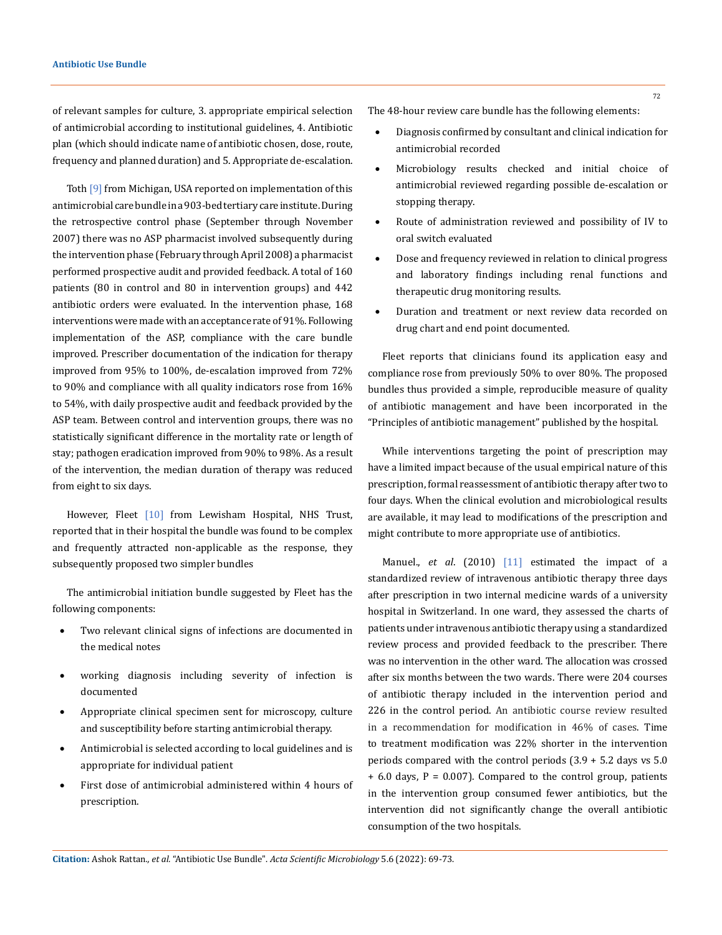of relevant samples for culture, 3. appropriate empirical selection of antimicrobial according to institutional guidelines, 4. Antibiotic plan (which should indicate name of antibiotic chosen, dose, route, frequency and planned duration) and 5. Appropriate de-escalation.

Toth [9] from Michigan, USA reported on implementation of this antimicrobial care bundle in a 903-bed tertiary care institute. During the retrospective control phase (September through November 2007) there was no ASP pharmacist involved subsequently during the intervention phase (February through April 2008) a pharmacist performed prospective audit and provided feedback. A total of 160 patients (80 in control and 80 in intervention groups) and 442 antibiotic orders were evaluated. In the intervention phase, 168 interventions were made with an acceptance rate of 91%. Following implementation of the ASP, compliance with the care bundle improved. Prescriber documentation of the indication for therapy improved from 95% to 100%, de-escalation improved from 72% to 90% and compliance with all quality indicators rose from 16% to 54%, with daily prospective audit and feedback provided by the ASP team. Between control and intervention groups, there was no statistically significant difference in the mortality rate or length of stay; pathogen eradication improved from 90% to 98%. As a result of the intervention, the median duration of therapy was reduced from eight to six days.

However, Fleet [10] from Lewisham Hospital, NHS Trust, reported that in their hospital the bundle was found to be complex and frequently attracted non-applicable as the response, they subsequently proposed two simpler bundles

The antimicrobial initiation bundle suggested by Fleet has the following components:

- Two relevant clinical signs of infections are documented in the medical notes
- working diagnosis including severity of infection is documented
- Appropriate clinical specimen sent for microscopy, culture and susceptibility before starting antimicrobial therapy.
- Antimicrobial is selected according to local guidelines and is appropriate for individual patient
- First dose of antimicrobial administered within 4 hours of prescription.

The 48-hour review care bundle has the following elements:

- Diagnosis confirmed by consultant and clinical indication for antimicrobial recorded
- Microbiology results checked and initial choice of antimicrobial reviewed regarding possible de-escalation or stopping therapy.
- Route of administration reviewed and possibility of IV to oral switch evaluated
- Dose and frequency reviewed in relation to clinical progress and laboratory findings including renal functions and therapeutic drug monitoring results.
- Duration and treatment or next review data recorded on drug chart and end point documented.

Fleet reports that clinicians found its application easy and compliance rose from previously 50% to over 80%. The proposed bundles thus provided a simple, reproducible measure of quality of antibiotic management and have been incorporated in the "Principles of antibiotic management" published by the hospital.

While interventions targeting the point of prescription may have a limited impact because of the usual empirical nature of this prescription, formal reassessment of antibiotic therapy after two to four days. When the clinical evolution and microbiological results are available, it may lead to modifications of the prescription and might contribute to more appropriate use of antibiotics.

Manuel., *et al*. (2010) [11] estimated the impact of a standardized review of intravenous antibiotic therapy three days after prescription in two internal medicine wards of a university hospital in Switzerland. In one ward, they assessed the charts of patients under intravenous antibiotic therapy using a standardized review process and provided feedback to the prescriber. There was no intervention in the other ward. The allocation was crossed after six months between the two wards. There were 204 courses of antibiotic therapy included in the intervention period and 226 in the control period. An antibiotic course review resulted in a recommendation for modification in 46% of cases. Time to treatment modification was 22% shorter in the intervention periods compared with the control periods (3.9 + 5.2 days vs 5.0  $+ 6.0$  days,  $P = 0.007$ ). Compared to the control group, patients in the intervention group consumed fewer antibiotics, but the intervention did not significantly change the overall antibiotic consumption of the two hospitals.